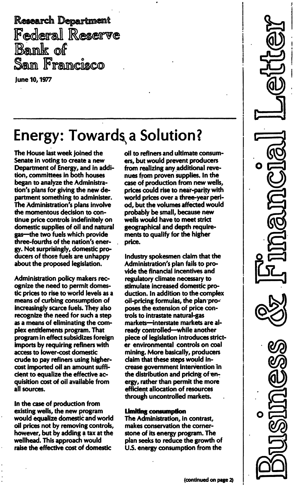Research Department Federal Reserve Bank of Sam Francisco

June 10, 1977

# Energy: Towards a Solution?

....... \_... \_-\_.\_- .. - - - - - - - - - - - - - - - - \_. \_- - - - - - -

The House last week joined the Senate in voting to create a new Department of Energy, and in addition, committees in both houses began to analyze the Administration's plans for giving the new department something to administer. The Administration's plans involve the momentous decision to continue price controls indefinitely on domestic supplies of oil and natural gas-the two fuels which provide three-fourths of the nation's energy. Not surprisingly, domestic producers of those fuels are unhappy about the proposed legislation.

Administration policy makers recognize the need to permit domestic prices to rise to world levels as a means of curbing consumption of increasingly scarce fuels. They also recognize the need for such a step as a means of eliminating the complex entitlements program. That program in effect subsidizes foreign imports by requiring refiners with access to lower-cost domestic crude to pay refiners using highercost imported oil an amount sufficient to equalize the effective acquisition cost of oil available from all sources.

In the case of production from existing wells, the new program would equalize domestic and world oil prices not by removing controls, however, but by adding a tax at the wellhead. This approach would raise the effective cost of domestic

oil to refiners and ultimate consumers, but would prevent producers from realizing any additional revenues from proven supplies. In the case of production from new wells, prices could rise to near-parity with world prices over a three-year period, but the volumes affected would probably be small, because new wells would have to meet strict geographical and depth requirements to qualify for the higher price.

Industry spokesmen claim that the Administration's plan fails to provide the financial incentives and regulatory climate necessary to stimulate increased domestic production. In addition to the complex oil-pricing formulas, the plan'proposes the extension of price controls to intrastate natural-gas markets-interstate markets are already controlled-while another piece of legislation introduces stricter environmental controls on coal mining. More basically, producers claim that these steps would increase government intervention in the distribution and pricing of energy, rather than permit the more efficient allocation of resources through uncontrolled markets.

#### limiting consumption

The Administration, in contrast, makes conservation the cornerstone of its energy program. The plan seeks to reduce the growth of U.S. energy consumption from the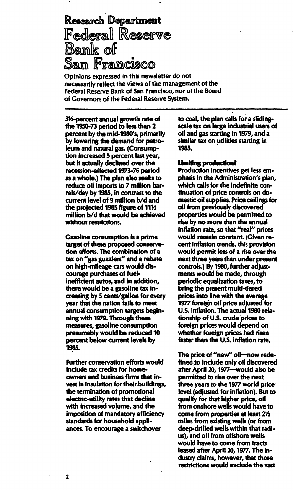## Research Department Federal Reserve Bank of Sam Francisco

Opinions expressed in this newsletter do not necessarily reflect the views of the management of the Federal Reserve Bank of San Francisco, nor of the Board of Governors of the Federal Reserve System.

3Y2-percent annual growth rate of the 1950-73 period to less than 2 percent by the mid-1980's, primarily by lowering the demand for petroleum and natural gas. (Consumption increased 5 percent last year, but it actually declined over the recession-affected 1973-76 period as a whole.) The plan also seeks to reduce oil imports to 7 million barrels/day by 1985, in contrast to the current level of 9 million b/d and the projected 1985 figure of 111/2 million b/d that would be achieved without restrictions.

Gasoline consumption is a prime target of these proposed conservation efforts. The combination of a tax on "gas guzzlers" and a rebate on high-mileage cars would discourage purchases of fuelinefficient autos, and in addition, there would be a gasoline tax increasing by 5 cents/gallon for every year that the nation fails to meet annual consumption targets beginning with 1979. Through these measures, gasoline consumption presumably would be reduced 10 percent below current levels by 1985.

Further conservation efforts would include tax credits for homeowners and business firms that invest in insulation for their buildings, the termination of promotional electric-utility rates that decline with increased volume, and the imposition of mandatory efficiency standards for household appliances. To encourage a switchover

to coal, the plan calls for a slidingscale tax on large industrial users of oil and gas starting in 1979, and a similar tax on utilities starting in 1983.

#### Limiting production?

Production incentives get less emphasis in the Administration's plan, which calls for the indefinite continuation of price controls on domestic oil supplies. Price ceilings for oil from previously discovered properties would be permitted to rise by no more than the annual inflation rate, so that "real" prices would remain constant. (Given recent inflation trends, this provision would permit less of a rise over the next three years than under present controls.) By 1980, further adjustments would be made, through periodic equalization taxes, to bring the present multi-tiered prices into line with the average 1977 foreign oil price adjusted for U.S. inflation. The actual 1980 relationship of U.S. crude prices to foreign prices would depend on whether foreign prices had risen faster than the U.S. inflation rate.

The price of "new" oil-now redefined to include only oil discovered after April 20, 1977-would also be permitted to rise over the next three years to the 1977 world price level (adjusted for inflation). But to qualify for that higher price, oil from onshore wells would have to come from properties at least 21/2 miles from existing wells (or from deep-drilled wells within that radius), and oil from offshore wells would have to come from tracts leased after April 20, 1977. The industry claims, however, that those restrictions would exclude the vast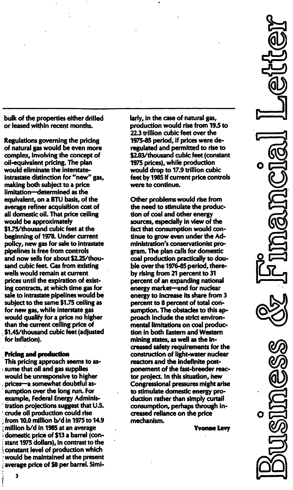bulk of the properties either drilled or leased within recent months.

Regulations governing the pricing of natural gas would be even more complex, involving the concept of oil-equivalent pricing. The plan would eliminate the interstateintrastate distinction for "new" gas, making both subject to a price limitation-determined as the equivalent, on a BTU basis, of the average refiner acquisition cost of all domestic oil. That price ceiling would be approximately \$1.75/thousand cubic feet at the beginning of 1978. Under current policy, new gas for sale to intrastate pipelines is free from controls and now sells for about \$2.25/thousand cubic feet. Gas from existing wells would remain at current prices until the expiration of existing contracts, at which time gas for sale to intrastate pipelines would be subject to the same \$1.75 ceiling as for new gas, while interstate gas would qualify for a price no higher than the current ceiling price of \$1 .45/thousand cubic feet (adjusted for inflation).

#### Pricing and production

This pricing approach seems to assume that oil and gas supplies would be unresponsive to higher prices-a somewhat doubtful assumption over the long run. For example, Federal Energy Administration projections suggest that U.s. crude oil production could rise from 10.0 million  $b/d$  in 1975 to 14.9 million b/d in 1985 at an average domestic price of \$13 a barrel (constant 1975 dollars), in contrast to the constant level of production which would be maintained at the present average price of \$8 per barrel. Similarly, in the case of natural gas, production would rise from 19.5 to 22.3 trillion cubic feet over the 1975-85 period, if prices were deregulated and permitted to rise to \$2.03/thousand cubic feet (constant 1975 prices), while production would drop to 17.9 trillion cubic feet by 1985 if current price controls were to continue.

Other problems would rise from the need to stimulate the production of coal and other energy sources, especially in view of the fact that consumption would continue to grow even under the Administration's conservationist program. The plan calls for domestic coal production practically to double over the 1976-85 period, thereby rising from 21 percent to 31 percent of an expanding national energy market-and for nuclear energy to increase its share from 3 percent to 8 percent of total consumption. The obstacles to this approach include the strict environmental limitations on coal production in both Eastern and Western mining states, as well as the increased safety requirements for the construction of light-water nuclear reactors and the indefinite postponement of the fast-breeder reactor project. In this situation, hew Congressional pressures might arise to stimulate domestic energy production rather than simply curtail consumption, perhaps through increased reliance on the price mechanism.

Yvonne levy